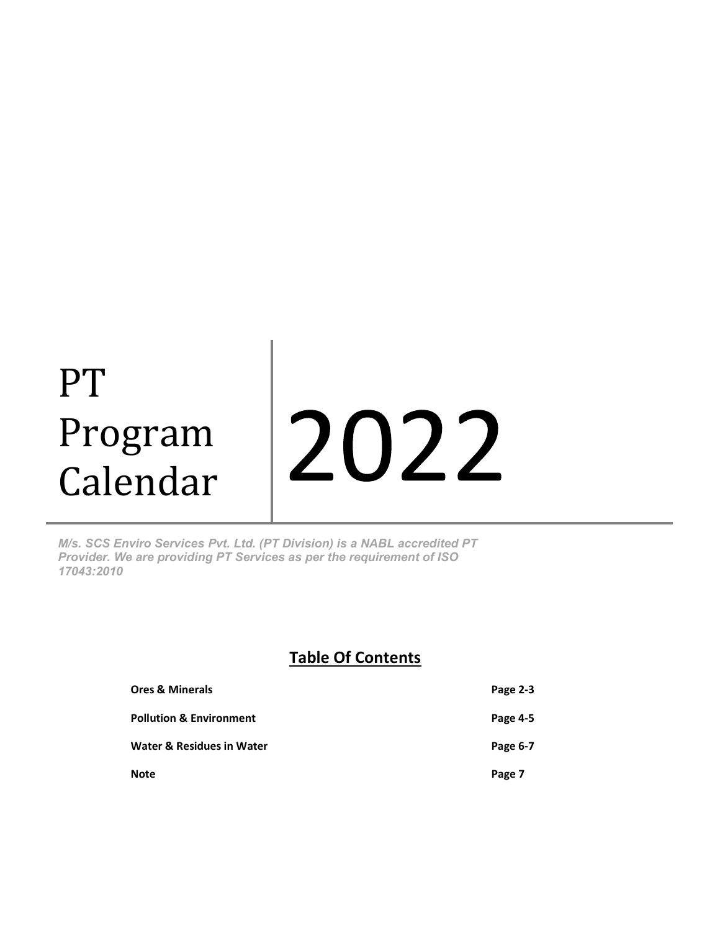# PT 2022 Program Calendar

M/s. SCS Enviro Services Pvt. Ltd. (PT Division) is a NABL accredited PT Provider. We are providing PT Services as per the requirement of ISO 17043:2010

#### Table Of Contents

| <b>Ores &amp; Minerals</b>         | Page 2-3 |
|------------------------------------|----------|
| <b>Pollution &amp; Environment</b> | Page 4-5 |
| Water & Residues in Water          | Page 6-7 |
| <b>Note</b>                        | Page 7   |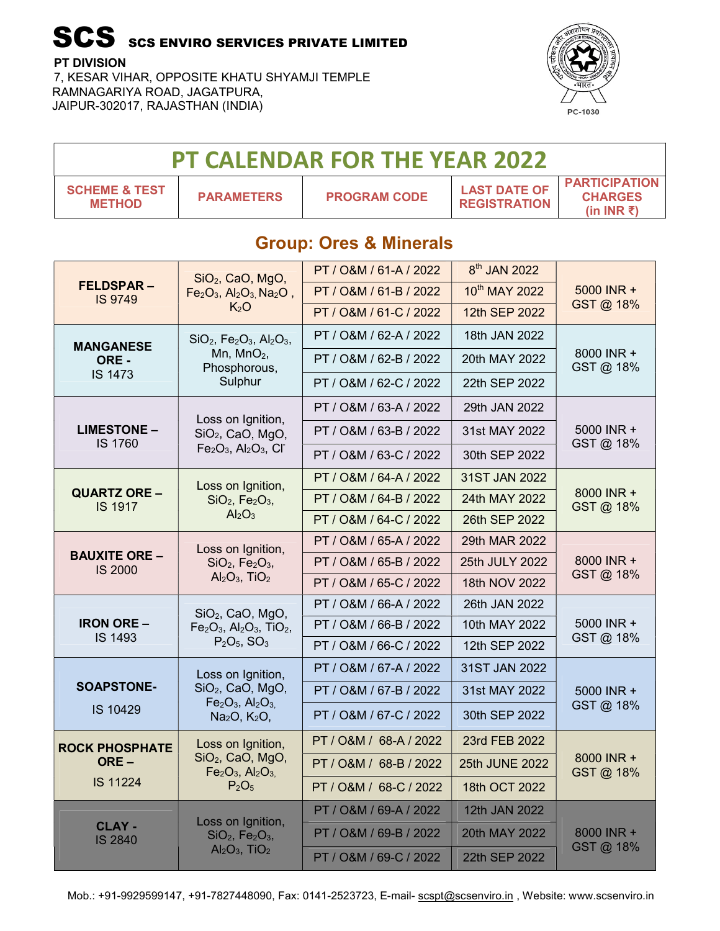#### PT DIVISION

Г

7, KESAR VIHAR, OPPOSITE KHATU SHYAMJI TEMPLE RAMNAGARIYA ROAD, JAGATPURA, JAIPUR-302017, RAJASTHAN (INDIA)



|                                           |                                                                            | PT CALENDAR FOR THE YEAR 2022     |                                            |                                                               |
|-------------------------------------------|----------------------------------------------------------------------------|-----------------------------------|--------------------------------------------|---------------------------------------------------------------|
| <b>SCHEME &amp; TEST</b><br><b>METHOD</b> | <b>PARAMETERS</b>                                                          | <b>PROGRAM CODE</b>               | <b>LAST DATE OF</b><br><b>REGISTRATION</b> | <b>PARTICIPATION</b><br><b>CHARGES</b><br>(in INR $\bar{z}$ ) |
|                                           |                                                                            | <b>Group: Ores &amp; Minerals</b> |                                            |                                                               |
|                                           | $SiO2$ , CaO, MgO,                                                         | PT / O&M / 61-A / 2022            | 8 <sup>th</sup> JAN 2022                   |                                                               |
| <b>FELDSPAR-</b><br><b>IS 9749</b>        | $Fe2O3$ , Al <sub>2</sub> O <sub>3</sub> , Na <sub>2</sub> O <sub>2</sub>  | PT / O&M / 61-B / 2022            | 10th MAY 2022                              | 5000 INR +<br>GST@ 18%                                        |
|                                           | K <sub>2</sub> O                                                           | PT / O&M / 61-C / 2022            | 12th SEP 2022                              |                                                               |
| <b>MANGANESE</b>                          | $SiO2$ , Fe <sub>2</sub> O <sub>3</sub> , Al <sub>2</sub> O <sub>3</sub> , | PT / O&M / 62-A / 2022            | 18th JAN 2022                              |                                                               |
| ORE -                                     | Mn, $MnO2$ ,<br>Phosphorous,                                               | PT / O&M / 62-B / 2022            | 20th MAY 2022                              | 8000 INR +<br>GST@ 18%                                        |
| <b>IS 1473</b>                            | Sulphur                                                                    | PT / O&M / 62-C / 2022            | 22th SEP 2022                              |                                                               |
|                                           |                                                                            | PT / O&M / 63-A / 2022            | 29th JAN 2022                              |                                                               |
| <b>LIMESTONE -</b>                        | Loss on Ignition,<br>$SiO2$ , CaO, MgO,                                    | PT / O&M / 63-B / 2022            | 31st MAY 2022                              | 5000 INR +                                                    |
| IS 1760                                   | $Fe2O3$ , Al <sub>2</sub> O <sub>3</sub> , Cl <sup>-</sup>                 | PT / O&M / 63-C / 2022            | 30th SEP 2022                              | GST@ 18%                                                      |
|                                           | Loss on Ignition,                                                          | PT / O&M / 64-A / 2022            | 31ST JAN 2022                              |                                                               |
| <b>QUARTZ ORE -</b><br><b>IS 1917</b>     | $SiO2$ , Fe <sub>2</sub> O <sub>3</sub> ,                                  | PT / O&M / 64-B / 2022            | 24th MAY 2022                              | 8000 INR +<br>GST@ 18%                                        |
|                                           | Al <sub>2</sub> O <sub>3</sub>                                             | PT / O&M / 64-C / 2022            | 26th SEP 2022                              |                                                               |
|                                           | Loss on Ignition,                                                          | PT / O&M / 65-A / 2022            | 29th MAR 2022                              |                                                               |
| <b>BAUXITE ORE -</b><br><b>IS 2000</b>    | $SiO2$ , $Fe2O3$ ,                                                         | PT / O&M / 65-B / 2022            | 25th JULY 2022                             | 8000 INR +<br>GST@ 18%                                        |
|                                           | $Al_2O_3$ , TiO <sub>2</sub>                                               | PT / O&M / 65-C / 2022            | 18th NOV 2022                              |                                                               |
|                                           | SiO <sub>2</sub> , CaO, MgO,                                               | PT / O&M / 66-A / 2022            | 26th JAN 2022                              |                                                               |
| <b>IRON ORE -</b><br><b>IS 1493</b>       | $Fe2O3$ , Al <sub>2</sub> O <sub>3</sub> , TiO <sub>2</sub> ,              | PT / O&M / 66-B / 2022            | 10th MAY 2022                              | 5000 INR +<br>GST@ 18%                                        |
|                                           | $P_2O_5$ , SO <sub>3</sub>                                                 | PT / O&M / 66-C / 2022            | 12th SEP 2022                              |                                                               |
|                                           | Loss on Ignition,                                                          | PT / O&M / 67-A / 2022            | 31ST JAN 2022                              |                                                               |
| <b>SOAPSTONE-</b>                         | $SiO2$ , CaO, MgO,<br>$Fe2O3$ , Al <sub>2</sub> O <sub>3,</sub>            | PT / O&M / 67-B / 2022            | 31st MAY 2022                              | 5000 INR +<br>GST@ 18%                                        |
| IS 10429                                  | Na <sub>2</sub> O, K <sub>2</sub> O,                                       | PT / O&M / 67-C / 2022            | 30th SEP 2022                              |                                                               |
| <b>ROCK PHOSPHATE</b><br>ORE-             | Loss on Ignition,                                                          | PT/O&M/68-A/2022                  | 23rd FEB 2022                              |                                                               |
|                                           | $SiO2$ , CaO, MgO,<br>$Fe2O3$ , Al <sub>2</sub> O <sub>3,</sub>            | PT / O&M / 68-B / 2022            | 25th JUNE 2022                             | 8000 INR +<br>GST@ 18%                                        |
| IS 11224                                  | P <sub>2</sub> O <sub>5</sub>                                              | PT / O&M / 68-C / 2022            | 18th OCT 2022                              |                                                               |
|                                           | Loss on Ignition,                                                          | PT / O&M / 69-A / 2022            | 12th JAN 2022                              |                                                               |
| <b>CLAY -</b><br><b>IS 2840</b>           | $SiO2$ , Fe <sub>2</sub> O <sub>3</sub> ,                                  | PT / O&M / 69-B / 2022            | 20th MAY 2022                              | 8000 INR +                                                    |
|                                           | $Al_2O_3$ , TiO <sub>2</sub>                                               | PT / O&M / 69-C / 2022            | 22th SEP 2022                              | GST @ 18%                                                     |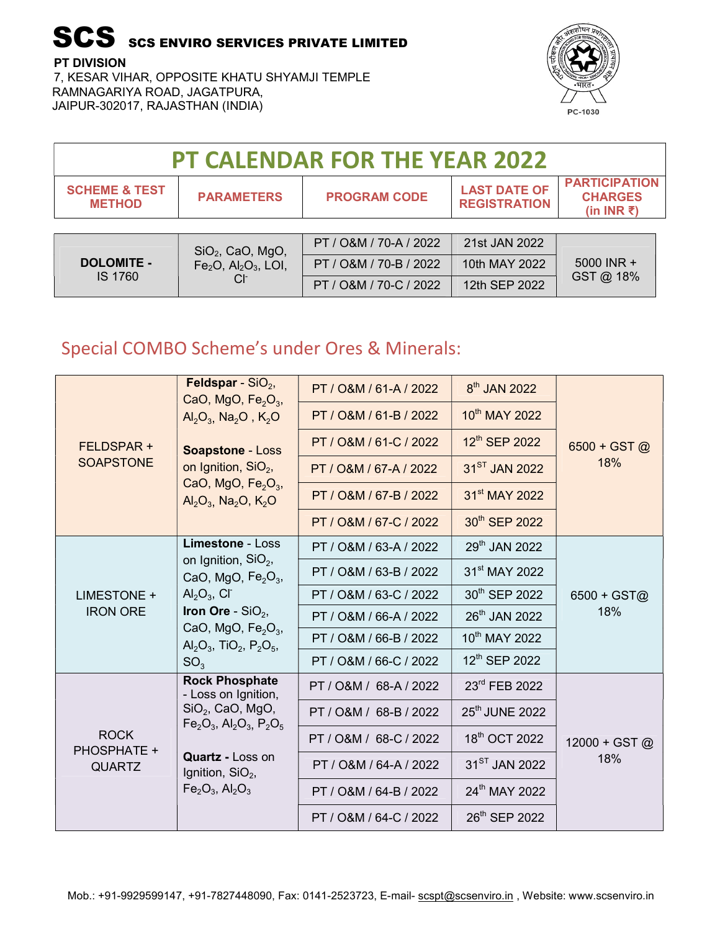PT DIVISION

7, KESAR VIHAR, OPPOSITE KHATU SHYAMJI TEMPLE RAMNAGARIYA ROAD, JAGATPURA, JAIPUR-302017, RAJASTHAN (INDIA)



| <b>PT CALENDAR FOR THE YEAR 2022</b>      |                                                |                        |                                            |                                                               |  |  |
|-------------------------------------------|------------------------------------------------|------------------------|--------------------------------------------|---------------------------------------------------------------|--|--|
| <b>SCHEME &amp; TEST</b><br><b>METHOD</b> | <b>PARAMETERS</b>                              | <b>PROGRAM CODE</b>    | <b>LAST DATE OF</b><br><b>REGISTRATION</b> | <b>PARTICIPATION</b><br><b>CHARGES</b><br>(in INR $\bar{z}$ ) |  |  |
|                                           |                                                |                        |                                            |                                                               |  |  |
|                                           | SiO <sub>2</sub> , CaO, MgO,                   | PT / O&M / 70-A / 2022 | 21st JAN 2022                              |                                                               |  |  |
| <b>DOLOMITE -</b>                         | $Fe2O$ , Al <sub>2</sub> O <sub>3</sub> , LOI, | PT / O&M / 70-B / 2022 | 10th MAY 2022                              | 5000 INR +                                                    |  |  |
| <b>IS 1760</b>                            |                                                | PT / O&M / 70-C / 2022 | 12th SEP 2022                              | GST @ 18%                                                     |  |  |

### Special COMBO Scheme's under Ores & Minerals:

|                                             | <b>Feldspar</b> - $SiO2$ ,                                                                          | PT / O&M / 61-A / 2022 | 8 <sup>th</sup> JAN 2022   |                      |
|---------------------------------------------|-----------------------------------------------------------------------------------------------------|------------------------|----------------------------|----------------------|
|                                             | CaO, MgO, $Fe2O3$ ,<br>$Al_2O_3$ , Na <sub>2</sub> O, K <sub>2</sub> O                              | PT / O&M / 61-B / 2022 | 10th MAY 2022              |                      |
| FELDSPAR +                                  | Soapstone - Loss                                                                                    | PT / O&M / 61-C / 2022 | 12th SEP 2022              | $6500 + GST$ @       |
| <b>SOAPSTONE</b>                            | on Ignition, $SiO2$ ,                                                                               | PT / O&M / 67-A / 2022 | 31 <sup>ST</sup> JAN 2022  | 18%                  |
|                                             | CaO, MgO, $Fe2O3$ ,<br>$Al_2O_3$ , Na <sub>2</sub> O, K <sub>2</sub> O                              | PT / O&M / 67-B / 2022 | 31 <sup>st</sup> MAY 2022  |                      |
|                                             |                                                                                                     | PT / O&M / 67-C / 2022 | 30th SEP 2022              |                      |
|                                             | <b>Limestone - Loss</b>                                                                             | PT / O&M / 63-A / 2022 | 29th JAN 2022              |                      |
|                                             | on Ignition, $SiO2$ ,<br>CaO, MgO, $Fe2O3$ ,<br>$Al_2O_3$ , Cl <sup>-</sup><br>Iron Ore - $SiO2$ ,  | PT / O&M / 63-B / 2022 | 31 <sup>st</sup> MAY 2022  | $6500 + GST@$<br>18% |
| LIMESTONE +                                 |                                                                                                     | PT / O&M / 63-C / 2022 | 30 <sup>th</sup> SEP 2022  |                      |
| <b>IRON ORE</b>                             |                                                                                                     | PT / O&M / 66-A / 2022 | 26 <sup>th</sup> JAN 2022  |                      |
|                                             | CaO, MgO, $Fe2O3$ ,<br>$\text{Al}_2\text{O}_3$ , TiO <sub>2</sub> , P <sub>2</sub> O <sub>5</sub> , | PT / O&M / 66-B / 2022 | 10 <sup>th</sup> MAY 2022  |                      |
|                                             | SO <sub>3</sub>                                                                                     | PT / O&M / 66-C / 2022 | 12 <sup>th</sup> SEP 2022  |                      |
|                                             | <b>Rock Phosphate</b><br>- Loss on Ignition,                                                        | PT / O&M / 68-A / 2022 | 23rd FEB 2022              |                      |
| <b>ROCK</b><br>PHOSPHATE +<br><b>QUARTZ</b> | $SiO2$ , CaO, MgO,<br>$Fe_2O_3$ , Al <sub>2</sub> O <sub>3</sub> , P <sub>2</sub> O <sub>5</sub>    | PT / O&M / 68-B / 2022 | 25 <sup>th</sup> JUNE 2022 |                      |
|                                             |                                                                                                     | PT / O&M / 68-C / 2022 | 18 <sup>th</sup> OCT 2022  | 12000 + GST @        |
|                                             | <b>Quartz - Loss on</b><br>Ignition, $SiO2$ ,                                                       | PT / O&M / 64-A / 2022 | $31^{ST}$ JAN 2022         | 18%                  |
|                                             | $Fe2O3$ , Al <sub>2</sub> O <sub>3</sub>                                                            | PT / O&M / 64-B / 2022 | 24th MAY 2022              |                      |
|                                             |                                                                                                     | PT / O&M / 64-C / 2022 | 26th SEP 2022              |                      |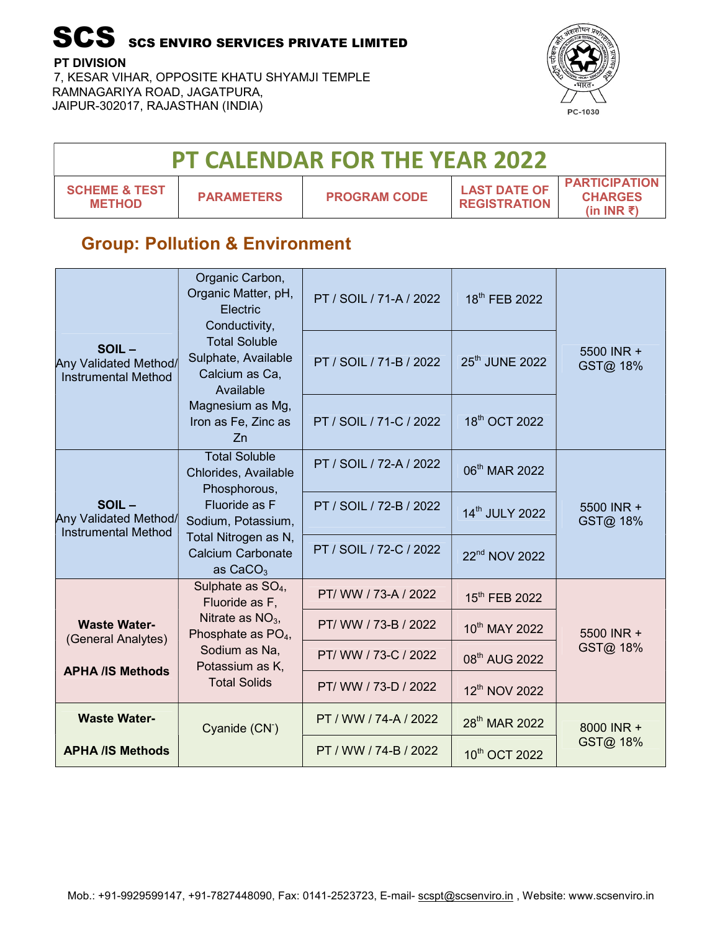PT DIVISION

7, KESAR VIHAR, OPPOSITE KHATU SHYAMJI TEMPLE RAMNAGARIYA ROAD, JAGATPURA, JAIPUR-302017, RAJASTHAN (INDIA)



| <b>PT CALENDAR FOR THE YEAR 2022</b>      |                   |                     |                                            |                                                               |  |  |
|-------------------------------------------|-------------------|---------------------|--------------------------------------------|---------------------------------------------------------------|--|--|
| <b>SCHEME &amp; TEST</b><br><b>METHOD</b> | <b>PARAMETERS</b> | <b>PROGRAM CODE</b> | <b>LAST DATE OF</b><br><b>REGISTRATION</b> | <b>PARTICIPATION</b><br><b>CHARGES</b><br>(in INR $\bar{z}$ ) |  |  |

#### Group: Pollution & Environment

|                                                              | Organic Carbon,<br>Organic Matter, pH,<br>Electric<br>Conductivity,        | PT / SOIL / 71-A / 2022 | 18 <sup>th</sup> FEB 2022  |                        |
|--------------------------------------------------------------|----------------------------------------------------------------------------|-------------------------|----------------------------|------------------------|
| SOIL-<br>Any Validated Method/<br><b>Instrumental Method</b> | <b>Total Soluble</b><br>Sulphate, Available<br>Calcium as Ca,<br>Available | PT / SOIL / 71-B / 2022 | 25 <sup>th</sup> JUNE 2022 | 5500 INR +<br>GST@ 18% |
|                                                              | Magnesium as Mg,<br>Iron as Fe, Zinc as<br>Zn                              | PT / SOIL / 71-C / 2022 | 18 <sup>th</sup> OCT 2022  |                        |
|                                                              | <b>Total Soluble</b><br>Chlorides, Available<br>Phosphorous,               | PT / SOIL / 72-A / 2022 | 06 <sup>th</sup> MAR 2022  |                        |
| SOIL-<br>Any Validated Method/<br><b>Instrumental Method</b> | Fluoride as F<br>Sodium, Potassium,                                        | PT / SOIL / 72-B / 2022 | 14th JULY 2022             | 5500 INR +<br>GST@ 18% |
|                                                              | Total Nitrogen as N,<br><b>Calcium Carbonate</b><br>as $CaCO3$             | PT / SOIL / 72-C / 2022 | 22 <sup>nd</sup> NOV 2022  |                        |
|                                                              | Sulphate as $SO_4$ ,<br>Fluoride as F,                                     | PT/ WW / 73-A / 2022    | 15th FEB 2022              |                        |
| <b>Waste Water-</b><br>(General Analytes)                    | Nitrate as $NO3$ ,<br>Phosphate as $PO4$ ,                                 | PT/ WW / 73-B / 2022    | 10th MAY 2022              | 5500 INR +             |
| <b>APHA /IS Methods</b>                                      | Sodium as Na,<br>Potassium as K,                                           | PT/ WW / 73-C / 2022    | 08 <sup>th</sup> AUG 2022  | GST@ 18%               |
|                                                              | <b>Total Solids</b>                                                        | PT/ WW / 73-D / 2022    | 12 <sup>th</sup> NOV 2022  |                        |
| <b>Waste Water-</b>                                          | Cyanide (CN <sup>-</sup> )                                                 | PT / WW / 74-A / 2022   | 28 <sup>th</sup> MAR 2022  | 8000 INR +             |
| <b>APHA /IS Methods</b>                                      |                                                                            | PT / WW / 74-B / 2022   | 10th OCT 2022              | GST@ 18%               |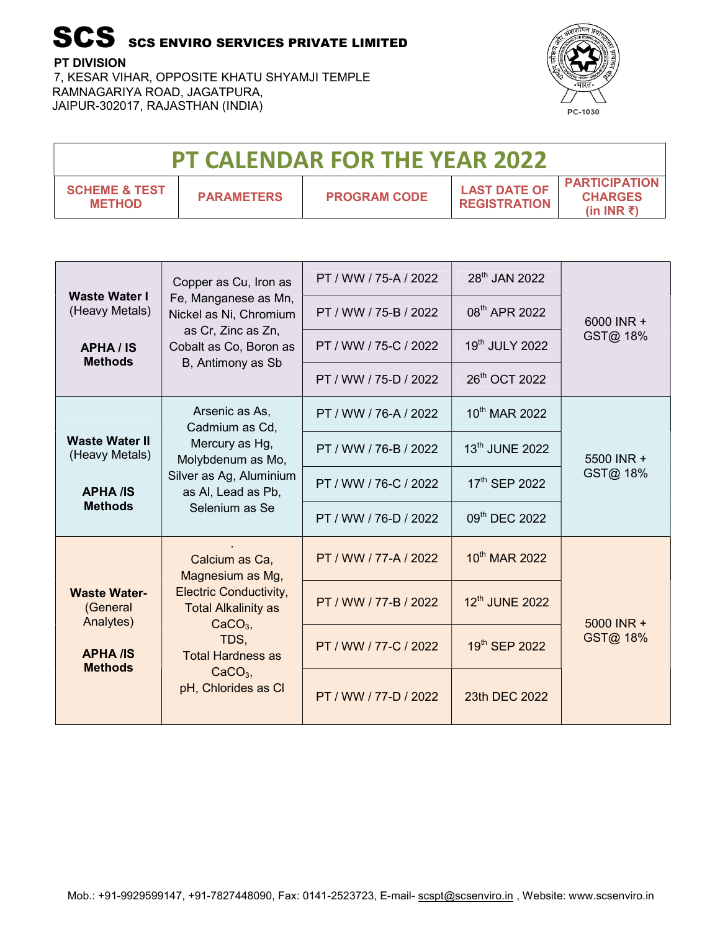PT DIVISION

7, KESAR VIHAR, OPPOSITE KHATU SHYAMJI TEMPLE RAMNAGARIYA ROAD, JAGATPURA, JAIPUR-302017, RAJASTHAN (INDIA)



| <b>PT CALENDAR FOR THE YEAR 2022</b>      |                   |                     |                                            |                                                                  |  |  |
|-------------------------------------------|-------------------|---------------------|--------------------------------------------|------------------------------------------------------------------|--|--|
| <b>SCHEME &amp; TEST</b><br><b>METHOD</b> | <b>PARAMETERS</b> | <b>PROGRAM CODE</b> | <b>LAST DATE OF</b><br><b>REGISTRATION</b> | <b>PARTICIPATION</b><br><b>CHARGES</b><br>(in INR $\bar{\tau}$ ) |  |  |

|                                              | Copper as Cu, Iron as                                                                                        | PT / WW / 75-A / 2022 | 28 <sup>th</sup> JAN 2022 |            |
|----------------------------------------------|--------------------------------------------------------------------------------------------------------------|-----------------------|---------------------------|------------|
| <b>Waste Water I</b><br>(Heavy Metals)       | Fe, Manganese as Mn,<br>Nickel as Ni, Chromium                                                               | PT / WW / 75-B / 2022 | 08 <sup>th</sup> APR 2022 | 6000 INR + |
| <b>APHA/IS</b><br><b>Methods</b>             | as Cr, Zinc as Zn,<br>Cobalt as Co, Boron as<br>B, Antimony as Sb                                            | PT / WW / 75-C / 2022 | 19th JULY 2022            | GST@ 18%   |
|                                              |                                                                                                              | PT / WW / 75-D / 2022 | 26th OCT 2022             |            |
|                                              | Arsenic as As,<br>Cadmium as Cd,                                                                             | PT / WW / 76-A / 2022 | 10 <sup>th</sup> MAR 2022 |            |
| <b>Waste Water II</b><br>(Heavy Metals)      | Mercury as Hg,<br>Molybdenum as Mo,                                                                          | PT / WW / 76-B / 2022 | 13th JUNE 2022            | 5500 INR + |
| <b>APHA /IS</b>                              | Silver as Ag, Aluminium<br>as Al, Lead as Pb,<br>Selenium as Se                                              | PT / WW / 76-C / 2022 | 17 <sup>th</sup> SEP 2022 | GST@ 18%   |
| <b>Methods</b>                               |                                                                                                              | PT / WW / 76-D / 2022 | 09th DEC 2022             |            |
|                                              | Calcium as Ca,<br>Magnesium as Mg,                                                                           | PT / WW / 77-A / 2022 | 10th MAR 2022             |            |
| <b>Waste Water-</b><br>(General<br>Analytes) | <b>Electric Conductivity,</b><br><b>Total Alkalinity as</b><br>$CaCO3$ ,<br>TDS,<br><b>Total Hardness as</b> | PT / WW / 77-B / 2022 | 12th JUNE 2022            | 5000 INR + |
| <b>APHA IS</b><br><b>Methods</b>             |                                                                                                              | PT / WW / 77-C / 2022 | 19th SEP 2022             | GST@ 18%   |
|                                              | $CaCO3$ ,<br>pH, Chlorides as Cl                                                                             | PT / WW / 77-D / 2022 | 23th DEC 2022             |            |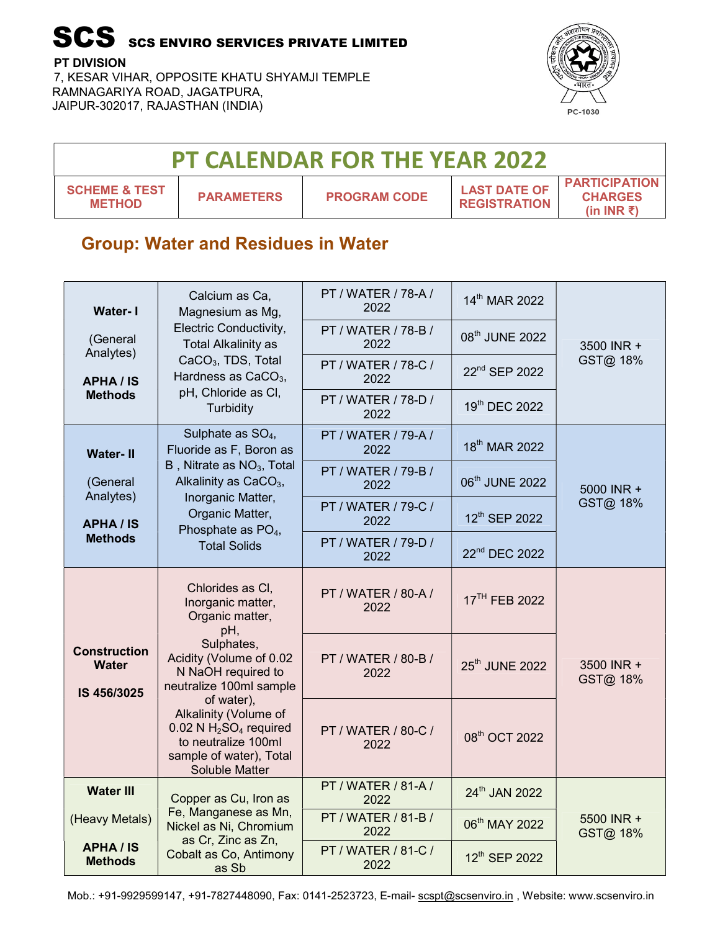PT DIVISION

7, KESAR VIHAR, OPPOSITE KHATU SHYAMJI TEMPLE RAMNAGARIYA ROAD, JAGATPURA, JAIPUR-302017, RAJASTHAN (INDIA)



| <b>PT CALENDAR FOR THE YEAR 2022</b>      |                   |                     |                                            |                                                               |  |  |
|-------------------------------------------|-------------------|---------------------|--------------------------------------------|---------------------------------------------------------------|--|--|
| <b>SCHEME &amp; TEST</b><br><b>METHOD</b> | <b>PARAMETERS</b> | <b>PROGRAM CODE</b> | <b>LAST DATE OF</b><br><b>REGISTRATION</b> | <b>PARTICIPATION</b><br><b>CHARGES</b><br>(in INR $\bar{z}$ ) |  |  |

#### Group: Water and Residues in Water

| <b>Water-1</b>                                     | Calcium as Ca,<br>Magnesium as Mg,                                                                                                   | PT / WATER / 78-A /<br>2022 | 14th MAR 2022             |                        |
|----------------------------------------------------|--------------------------------------------------------------------------------------------------------------------------------------|-----------------------------|---------------------------|------------------------|
| (General<br>Analytes)                              | Electric Conductivity,<br><b>Total Alkalinity as</b>                                                                                 | PT / WATER / 78-B /<br>2022 | 08th JUNE 2022            | 3500 INR +             |
| <b>APHA/IS</b>                                     | CaCO <sub>3</sub> , TDS, Total<br>Hardness as CaCO <sub>3</sub> ,                                                                    | PT / WATER / 78-C /<br>2022 | 22 <sup>nd</sup> SEP 2022 | GST@ 18%               |
| <b>Methods</b>                                     | pH, Chloride as Cl,<br>Turbidity                                                                                                     | PT / WATER / 78-D /<br>2022 | 19th DEC 2022             |                        |
| <b>Water-II</b>                                    | Sulphate as $SO_4$ ,<br>Fluoride as F, Boron as                                                                                      | PT / WATER / 79-A /<br>2022 | 18 <sup>th</sup> MAR 2022 |                        |
| (General<br>Analytes)                              | $B$ , Nitrate as $NO3$ , Total<br>Alkalinity as CaCO <sub>3</sub> ,                                                                  | PT / WATER / 79-B /<br>2022 | 06th JUNE 2022            | 5000 INR +             |
| <b>APHA/IS</b>                                     | Inorganic Matter,<br>Organic Matter,<br>Phosphate as $PO4$ ,                                                                         | PT / WATER / 79-C /<br>2022 | 12th SEP 2022             | GST@ 18%               |
| <b>Methods</b>                                     | <b>Total Solids</b>                                                                                                                  | PT / WATER / 79-D /<br>2022 | 22 <sup>nd</sup> DEC 2022 |                        |
|                                                    | Chlorides as CI,<br>Inorganic matter,<br>Organic matter,<br>pH,                                                                      | PT / WATER / 80-A /<br>2022 | 17 <sup>TH</sup> FEB 2022 |                        |
| <b>Construction</b><br><b>Water</b><br>IS 456/3025 | Sulphates,<br>Acidity (Volume of 0.02<br>N NaOH required to<br>neutralize 100ml sample                                               | PT / WATER / 80-B /<br>2022 | 25th JUNE 2022            | 3500 INR +<br>GST@ 18% |
|                                                    | of water),<br>Alkalinity (Volume of<br>$0.02$ N $H2SO4$ required<br>to neutralize 100ml<br>sample of water), Total<br>Soluble Matter | PT / WATER / 80-C /<br>2022 | 08th OCT 2022             |                        |
| <b>Water III</b>                                   | Copper as Cu, Iron as                                                                                                                | PT / WATER / 81-A /<br>2022 | 24th JAN 2022             |                        |
| (Heavy Metals)                                     | Fe, Manganese as Mn,<br>Nickel as Ni, Chromium                                                                                       | PT / WATER / 81-B /<br>2022 | 06th MAY 2022             | 5500 INR +<br>GST@ 18% |
| <b>APHA/IS</b><br><b>Methods</b>                   | as Cr, Zinc as Zn,<br>Cobalt as Co, Antimony<br>as Sb                                                                                | PT / WATER / 81-C /<br>2022 | 12th SEP 2022             |                        |

Mob.: +91-9929599147, +91-7827448090, Fax: 0141-2523723, E-mail- scspt@scsenviro.in , Website: www.scsenviro.in